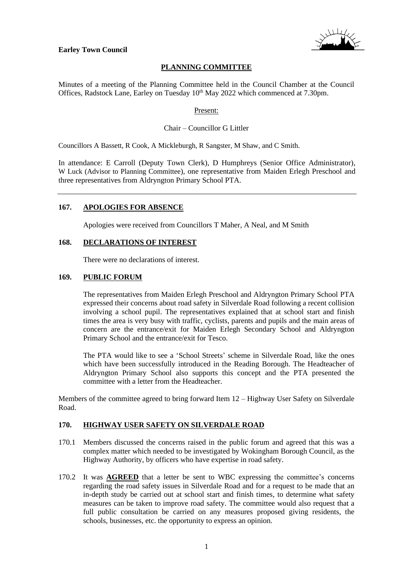



# **PLANNING COMMITTEE**

Minutes of a meeting of the Planning Committee held in the Council Chamber at the Council Offices, Radstock Lane, Earley on Tuesday 10<sup>th</sup> May 2022 which commenced at 7.30pm.

### Present:

## Chair – Councillor G Littler

Councillors A Bassett, R Cook, A Mickleburgh, R Sangster, M Shaw, and C Smith.

In attendance: E Carroll (Deputy Town Clerk), D Humphreys (Senior Office Administrator), W Luck (Advisor to Planning Committee), one representative from Maiden Erlegh Preschool and three representatives from Aldryngton Primary School PTA.

### **167. APOLOGIES FOR ABSENCE**

Apologies were received from Councillors T Maher, A Neal, and M Smith

### **168. DECLARATIONS OF INTEREST**

There were no declarations of interest.

### **169. PUBLIC FORUM**

The representatives from Maiden Erlegh Preschool and Aldryngton Primary School PTA expressed their concerns about road safety in Silverdale Road following a recent collision involving a school pupil. The representatives explained that at school start and finish times the area is very busy with traffic, cyclists, parents and pupils and the main areas of concern are the entrance/exit for Maiden Erlegh Secondary School and Aldryngton Primary School and the entrance/exit for Tesco.

The PTA would like to see a 'School Streets' scheme in Silverdale Road, like the ones which have been successfully introduced in the Reading Borough. The Headteacher of Aldryngton Primary School also supports this concept and the PTA presented the committee with a letter from the Headteacher.

Members of the committee agreed to bring forward Item 12 – Highway User Safety on Silverdale Road.

#### **170. HIGHWAY USER SAFETY ON SILVERDALE ROAD**

- 170.1 Members discussed the concerns raised in the public forum and agreed that this was a complex matter which needed to be investigated by Wokingham Borough Council, as the Highway Authority, by officers who have expertise in road safety.
- 170.2 It was **AGREED** that a letter be sent to WBC expressing the committee's concerns regarding the road safety issues in Silverdale Road and for a request to be made that an in-depth study be carried out at school start and finish times, to determine what safety measures can be taken to improve road safety. The committee would also request that a full public consultation be carried on any measures proposed giving residents, the schools, businesses, etc. the opportunity to express an opinion.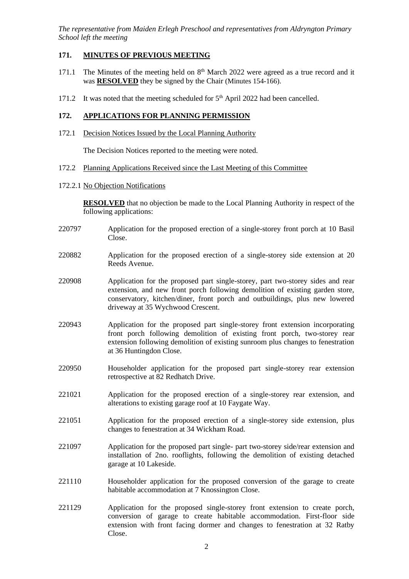*The representative from Maiden Erlegh Preschool and representatives from Aldryngton Primary School left the meeting*

## **171. MINUTES OF PREVIOUS MEETING**

- 171.1 The Minutes of the meeting held on  $8<sup>th</sup>$  March 2022 were agreed as a true record and it was **RESOLVED** they be signed by the Chair (Minutes 154-166).
- 171.2 It was noted that the meeting scheduled for  $5<sup>th</sup>$  April 2022 had been cancelled.

### **172. APPLICATIONS FOR PLANNING PERMISSION**

172.1 Decision Notices Issued by the Local Planning Authority

The Decision Notices reported to the meeting were noted.

- 172.2 Planning Applications Received since the Last Meeting of this Committee
- 172.2.1 No Objection Notifications

**RESOLVED** that no objection be made to the Local Planning Authority in respect of the following applications:

- 220797 Application for the proposed erection of a single-storey front porch at 10 Basil Close.
- 220882 Application for the proposed erection of a single-storey side extension at 20 Reeds Avenue.
- 220908 Application for the proposed part single-storey, part two-storey sides and rear extension, and new front porch following demolition of existing garden store, conservatory, kitchen/diner, front porch and outbuildings, plus new lowered driveway at 35 Wychwood Crescent.
- 220943 Application for the proposed part single-storey front extension incorporating front porch following demolition of existing front porch, two-storey rear extension following demolition of existing sunroom plus changes to fenestration at 36 Huntingdon Close.
- 220950 Householder application for the proposed part single-storey rear extension retrospective at 82 Redhatch Drive.
- 221021 Application for the proposed erection of a single-storey rear extension, and alterations to existing garage roof at 10 Faygate Way.
- 221051 Application for the proposed erection of a single-storey side extension, plus changes to fenestration at 34 Wickham Road.
- 221097 Application for the proposed part single- part two-storey side/rear extension and installation of 2no. rooflights, following the demolition of existing detached garage at 10 Lakeside.
- 221110 Householder application for the proposed conversion of the garage to create habitable accommodation at 7 Knossington Close.
- 221129 Application for the proposed single-storey front extension to create porch, conversion of garage to create habitable accommodation. First-floor side extension with front facing dormer and changes to fenestration at 32 Ratby Close.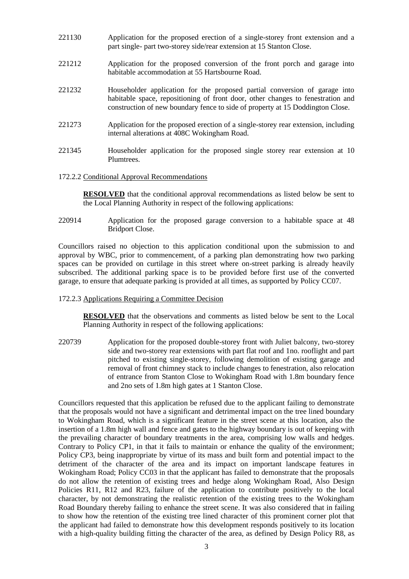- 221130 Application for the proposed erection of a single-storey front extension and a part single- part two-storey side/rear extension at 15 Stanton Close.
- 221212 Application for the proposed conversion of the front porch and garage into habitable accommodation at 55 Hartsbourne Road.
- 221232 Householder application for the proposed partial conversion of garage into habitable space, repositioning of front door, other changes to fenestration and construction of new boundary fence to side of property at 15 Doddington Close.
- 221273 Application for the proposed erection of a single-storey rear extension, including internal alterations at 408C Wokingham Road.
- 221345 Householder application for the proposed single storey rear extension at 10 Plumtrees.
- 172.2.2 Conditional Approval Recommendations

**RESOLVED** that the conditional approval recommendations as listed below be sent to the Local Planning Authority in respect of the following applications:

220914 Application for the proposed garage conversion to a habitable space at 48 Bridport Close.

Councillors raised no objection to this application conditional upon the submission to and approval by WBC, prior to commencement, of a parking plan demonstrating how two parking spaces can be provided on curtilage in this street where on-street parking is already heavily subscribed. The additional parking space is to be provided before first use of the converted garage, to ensure that adequate parking is provided at all times, as supported by Policy CC07.

172.2.3 Applications Requiring a Committee Decision

**RESOLVED** that the observations and comments as listed below be sent to the Local Planning Authority in respect of the following applications:

220739 Application for the proposed double-storey front with Juliet balcony, two-storey side and two-storey rear extensions with part flat roof and 1no. rooflight and part pitched to existing single-storey, following demolition of existing garage and removal of front chimney stack to include changes to fenestration, also relocation of entrance from Stanton Close to Wokingham Road with 1.8m boundary fence and 2no sets of 1.8m high gates at 1 Stanton Close.

Councillors requested that this application be refused due to the applicant failing to demonstrate that the proposals would not have a significant and detrimental impact on the tree lined boundary to Wokingham Road, which is a significant feature in the street scene at this location, also the insertion of a 1.8m high wall and fence and gates to the highway boundary is out of keeping with the prevailing character of boundary treatments in the area, comprising low walls and hedges. Contrary to Policy CP1, in that it fails to maintain or enhance the quality of the environment; Policy CP3, being inappropriate by virtue of its mass and built form and potential impact to the detriment of the character of the area and its impact on important landscape features in Wokingham Road; Policy CC03 in that the applicant has failed to demonstrate that the proposals do not allow the retention of existing trees and hedge along Wokingham Road, Also Design Policies R11, R12 and R23, failure of the application to contribute positively to the local character, by not demonstrating the realistic retention of the existing trees to the Wokingham Road Boundary thereby failing to enhance the street scene. It was also considered that in failing to show how the retention of the existing tree lined character of this prominent corner plot that the applicant had failed to demonstrate how this development responds positively to its location with a high-quality building fitting the character of the area, as defined by Design Policy R8, as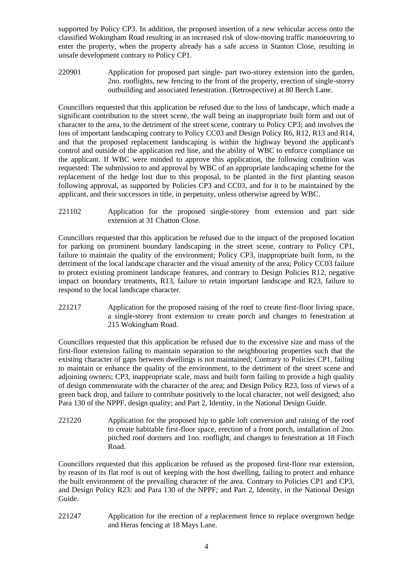supported by Policy CP3. In addition, the proposed insertion of a new vehicular access onto the classified Wokingham Road resulting in an increased risk of slow-moving traffic manoeuvring to enter the property, when the property already has a safe access in Stanton Close, resulting in unsafe development contrary to Policy CP1.

220901 Application for proposed part single- part two-storey extension into the garden, 2no. rooflights, new fencing to the front of the property, erection of single-storey outbuilding and associated fenestration. (Retrospective) at 80 Beech Lane.

Councillors requested that this application be refused due to the loss of landscape, which made a significant contribution to the street scene, the wall being an inappropriate built form and out of character to the area, to the detriment of the street scene, contrary to Policy CP3; and involves the loss of important landscaping contrary to Policy CC03 and Design Policy R6, R12, R13 and R14, and that the proposed replacement landscaping is within the highway beyond the applicant's control and outside of the application red line, and the ability of WBC to enforce compliance on the applicant. If WBC were minded to approve this application, the following condition was requested: The submission to and approval by WBC of an appropriate landscaping scheme for the replacement of the hedge lost due to this proposal, to be planted in the first planting season following approval, as supported by Policies CP3 and CC03, and for it to be maintained by the applicant, and their successors in title, in perpetuity, unless otherwise agreed by WBC.

221102 Application for the proposed single-storey front extension and part side extension at 31 Chatton Close.

Councillors requested that this application be refused due to the impact of the proposed location for parking on prominent boundary landscaping in the street scene, contrary to Policy CP1, failure to maintain the quality of the environment; Policy CP3, inappropriate built form, to the detriment of the local landscape character and the visual amenity of the area; Policy CC03 failure to protect existing prominent landscape features, and contrary to Design Policies R12, negative impact on boundary treatments, R13, failure to retain important landscape and R23, failure to respond to the local landscape character.

221217 Application for the proposed raising of the roof to create first-floor living space, a single-storey front extension to create porch and changes to fenestration at 215 Wokingham Road.

Councillors requested that this application be refused due to the excessive size and mass of the first-floor extension failing to maintain separation to the neighbouring properties such that the existing character of gaps between dwellings is not maintained; Contrary to Policies CP1, failing to maintain or enhance the quality of the environment, to the detriment of the street scene and adjoining owners; CP3, inappropriate scale, mass and built form failing to provide a high quality of design commensurate with the character of the area; and Design Policy R23, loss of views of a green back drop, and failure to contribute positively to the local character, not well designed; also Para 130 of the NPPF, design quality; and Part 2, Identity, in the National Design Guide.

221220 Application for the proposed hip to gable loft conversion and raising of the roof to create habitable first-floor space, erection of a front porch, installation of 2no. pitched roof dormers and 1no. rooflight, and changes to fenestration at 18 Finch Road.

Councillors requested that this application be refused as the proposed first-floor rear extension, by reason of its flat roof is out of keeping with the host dwelling, failing to protect and enhance the built environment of the prevailing character of the area. Contrary to Policies CP1 and CP3, and Design Policy R23: and Para 130 of the NPPF; and Part 2, Identity, in the National Design Guide.

221247 Application for the erection of a replacement fence to replace overgrown hedge and Heras fencing at 18 Mays Lane.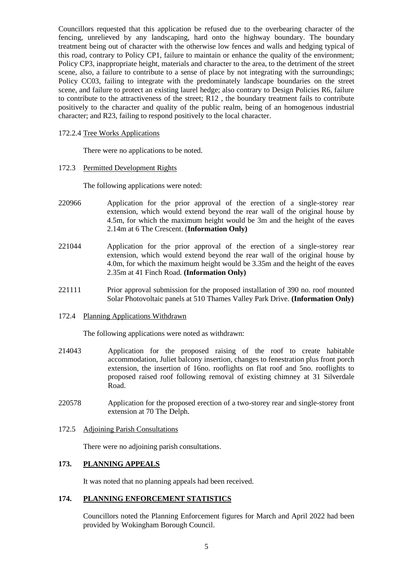Councillors requested that this application be refused due to the overbearing character of the fencing, unrelieved by any landscaping, hard onto the highway boundary. The boundary treatment being out of character with the otherwise low fences and walls and hedging typical of this road, contrary to Policy CP1, failure to maintain or enhance the quality of the environment; Policy CP3, inappropriate height, materials and character to the area, to the detriment of the street scene, also, a failure to contribute to a sense of place by not integrating with the surroundings; Policy CC03, failing to integrate with the predominately landscape boundaries on the street scene, and failure to protect an existing laurel hedge; also contrary to Design Policies R6, failure to contribute to the attractiveness of the street; R12 , the boundary treatment fails to contribute positively to the character and quality of the public realm, being of an homogenous industrial character; and R23, failing to respond positively to the local character.

#### 172.2.4 Tree Works Applications

There were no applications to be noted.

172.3 Permitted Development Rights

The following applications were noted:

- 220966 Application for the prior approval of the erection of a single-storey rear extension, which would extend beyond the rear wall of the original house by 4.5m, for which the maximum height would be 3m and the height of the eaves 2.14m at 6 The Crescent. (**Information Only)**
- 221044 Application for the prior approval of the erection of a single-storey rear extension, which would extend beyond the rear wall of the original house by 4.0m, for which the maximum height would be 3.35m and the height of the eaves 2.35m at 41 Finch Road. **(Information Only)**
- 221111 Prior approval submission for the proposed installation of 390 no. roof mounted Solar Photovoltaic panels at 510 Thames Valley Park Drive. **(Information Only)**
- 172.4 Planning Applications Withdrawn

The following applications were noted as withdrawn:

- 214043 Application for the proposed raising of the roof to create habitable accommodation, Juliet balcony insertion, changes to fenestration plus front porch extension, the insertion of 16no. rooflights on flat roof and 5no. rooflights to proposed raised roof following removal of existing chimney at 31 Silverdale Road.
- 220578 Application for the proposed erection of a two-storey rear and single-storey front extension at 70 The Delph.
- 172.5 Adjoining Parish Consultations

There were no adjoining parish consultations.

## **173. PLANNING APPEALS**

It was noted that no planning appeals had been received.

# **174. PLANNING ENFORCEMENT STATISTICS**

Councillors noted the Planning Enforcement figures for March and April 2022 had been provided by Wokingham Borough Council.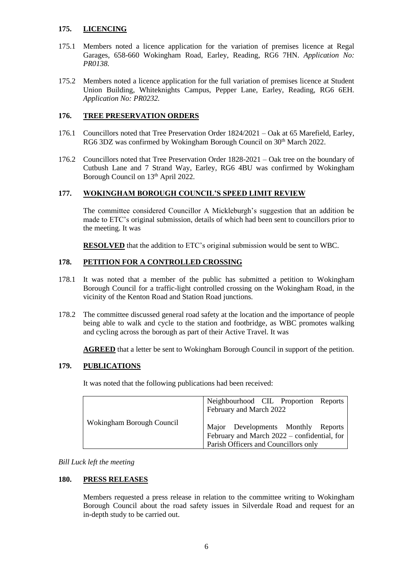### **175. LICENCING**

- 175.1 Members noted a licence application for the variation of premises licence at Regal Garages, 658-660 Wokingham Road, Earley, Reading, RG6 7HN. *Application No: PR0138.*
- 175.2 Members noted a licence application for the full variation of premises licence at Student Union Building, Whiteknights Campus, Pepper Lane, Earley, Reading, RG6 6EH. *Application No: PR0232.*

## **176. TREE PRESERVATION ORDERS**

- 176.1 Councillors noted that Tree Preservation Order 1824/2021 Oak at 65 Marefield, Earley, RG6 3DZ was confirmed by Wokingham Borough Council on 30<sup>th</sup> March 2022.
- 176.2 Councillors noted that Tree Preservation Order 1828-2021 Oak tree on the boundary of Cutbush Lane and 7 Strand Way, Earley, RG6 4BU was confirmed by Wokingham Borough Council on 13<sup>th</sup> April 2022.

## **177. WOKINGHAM BOROUGH COUNCIL'S SPEED LIMIT REVIEW**

The committee considered Councillor A Mickleburgh's suggestion that an addition be made to ETC's original submission, details of which had been sent to councillors prior to the meeting. It was

**RESOLVED** that the addition to ETC's original submission would be sent to WBC.

## **178. PETITION FOR A CONTROLLED CROSSING**

- 178.1 It was noted that a member of the public has submitted a petition to Wokingham Borough Council for a traffic-light controlled crossing on the Wokingham Road, in the vicinity of the Kenton Road and Station Road junctions.
- 178.2 The committee discussed general road safety at the location and the importance of people being able to walk and cycle to the station and footbridge, as WBC promotes walking and cycling across the borough as part of their Active Travel. It was

**AGREED** that a letter be sent to Wokingham Borough Council in support of the petition.

## **179. PUBLICATIONS**

It was noted that the following publications had been received:

| Wokingham Borough Council | Neighbourhood CIL Proportion Reports<br>February and March 2022                                                           |
|---------------------------|---------------------------------------------------------------------------------------------------------------------------|
|                           | Major Developments Monthly Reports<br>February and March 2022 – confidential, for<br>Parish Officers and Councillors only |

## *Bill Luck left the meeting*

#### **180. PRESS RELEASES**

Members requested a press release in relation to the committee writing to Wokingham Borough Council about the road safety issues in Silverdale Road and request for an in-depth study to be carried out.